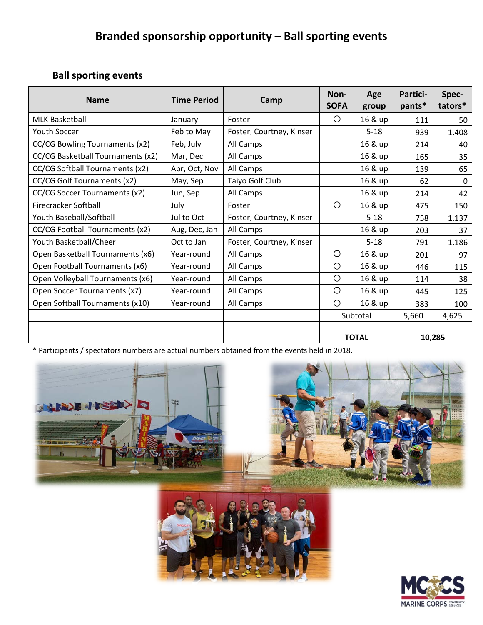# **Branded sponsorship opportunity – Ball sporting events**

### **Ball sporting events**

| <b>Name</b>                       | <b>Time Period</b> | Camp                     | Non-<br><b>SOFA</b> | Age<br>group | <b>Partici-</b><br>pants* | Spec-<br>tators* |
|-----------------------------------|--------------------|--------------------------|---------------------|--------------|---------------------------|------------------|
| <b>MLK Basketball</b>             | January            | Foster                   | O                   | 16 & up      | 111                       | 50               |
| Youth Soccer                      | Feb to May         | Foster, Courtney, Kinser |                     | $5 - 18$     | 939                       | 1,408            |
| CC/CG Bowling Tournaments (x2)    | Feb, July          | All Camps                |                     | 16 & up      | 214                       | 40               |
| CC/CG Basketball Tournaments (x2) | Mar, Dec           | All Camps                |                     | 16 & up      | 165                       | 35               |
| CC/CG Softball Tournaments (x2)   | Apr, Oct, Nov      | All Camps                |                     | 16 & up      | 139                       | 65               |
| CC/CG Golf Tournaments (x2)       | May, Sep           | Taiyo Golf Club          |                     | 16 & up      | 62                        | 0                |
| CC/CG Soccer Tournaments (x2)     | Jun, Sep           | All Camps                |                     | 16 & up      | 214                       | 42               |
| Firecracker Softball              | July               | Foster                   | O                   | 16 & up      | 475                       | 150              |
| Youth Baseball/Softball           | Jul to Oct         | Foster, Courtney, Kinser |                     | $5 - 18$     | 758                       | 1,137            |
| CC/CG Football Tournaments (x2)   | Aug, Dec, Jan      | All Camps                |                     | 16 & up      | 203                       | 37               |
| Youth Basketball/Cheer            | Oct to Jan         | Foster, Courtney, Kinser |                     | $5 - 18$     | 791                       | 1,186            |
| Open Basketball Tournaments (x6)  | Year-round         | All Camps                | O                   | 16 & up      | 201                       | 97               |
| Open Football Tournaments (x6)    | Year-round         | All Camps                | O                   | 16 & up      | 446                       | 115              |
| Open Volleyball Tournaments (x6)  | Year-round         | All Camps                | O                   | 16 & up      | 114                       | 38               |
| Open Soccer Tournaments (x7)      | Year-round         | All Camps                | O                   | 16 & up      | 445                       | 125              |
| Open Softball Tournaments (x10)   | Year-round         | All Camps                | O                   | 16 & up      | 383                       | 100              |
|                                   |                    |                          | Subtotal            |              | 5,660                     | 4,625            |
|                                   |                    |                          | <b>TOTAL</b>        |              | 10,285                    |                  |

\* Participants / spectators numbers are actual numbers obtained from the events held in 2018.